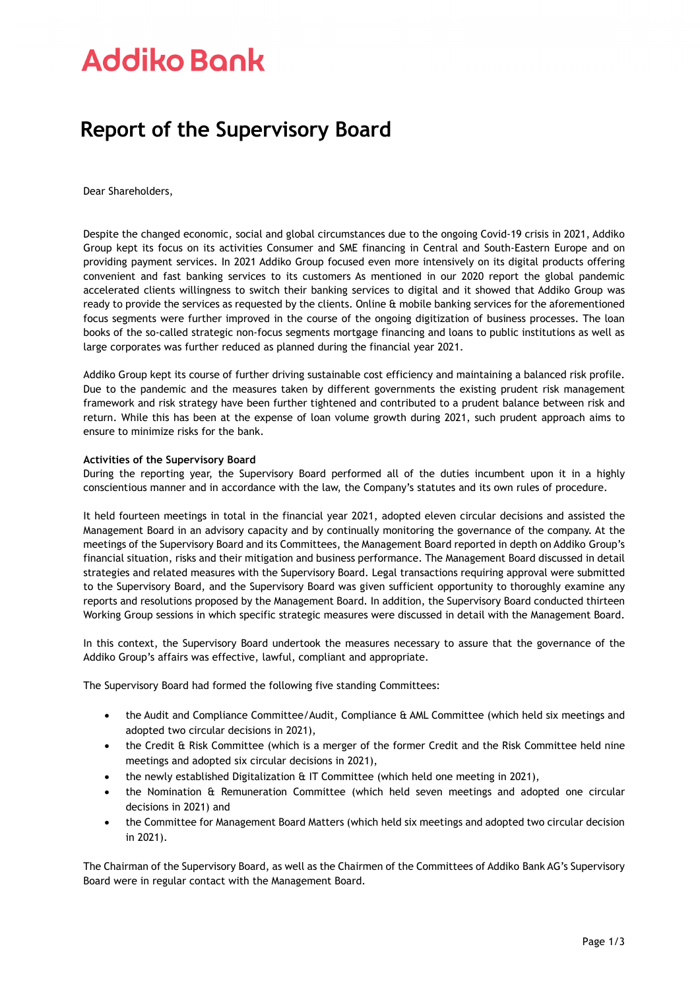# **Addiko Bank**

### **Report of the Supervisory Board**

Dear Shareholders,

Despite the changed economic, social and global circumstances due to the ongoing Covid-19 crisis in 2021, Addiko Group kept its focus on its activities Consumer and SME financing in Central and South-Eastern Europe and on providing payment services. In 2021 Addiko Group focused even more intensively on its digital products offering convenient and fast banking services to its customers As mentioned in our 2020 report the global pandemic accelerated clients willingness to switch their banking services to digital and it showed that Addiko Group was ready to provide the services as requested by the clients. Online & mobile banking services for the aforementioned focus segments were further improved in the course of the ongoing digitization of business processes. The loan books of the so-called strategic non-focus segments mortgage financing and loans to public institutions as well as large corporates was further reduced as planned during the financial year 2021.

Addiko Group kept its course of further driving sustainable cost efficiency and maintaining a balanced risk profile. Due to the pandemic and the measures taken by different governments the existing prudent risk management framework and risk strategy have been further tightened and contributed to a prudent balance between risk and return. While this has been at the expense of loan volume growth during 2021, such prudent approach aims to ensure to minimize risks for the bank.

#### **Activities of the Supervisory Board**

During the reporting year, the Supervisory Board performed all of the duties incumbent upon it in a highly conscientious manner and in accordance with the law, the Company's statutes and its own rules of procedure.

It held fourteen meetings in total in the financial year 2021, adopted eleven circular decisions and assisted the Management Board in an advisory capacity and by continually monitoring the governance of the company. At the meetings of the Supervisory Board and its Committees, the Management Board reported in depth on Addiko Group's financial situation, risks and their mitigation and business performance. The Management Board discussed in detail strategies and related measures with the Supervisory Board. Legal transactions requiring approval were submitted to the Supervisory Board, and the Supervisory Board was given sufficient opportunity to thoroughly examine any reports and resolutions proposed by the Management Board. In addition, the Supervisory Board conducted thirteen Working Group sessions in which specific strategic measures were discussed in detail with the Management Board.

In this context, the Supervisory Board undertook the measures necessary to assure that the governance of the Addiko Group's affairs was effective, lawful, compliant and appropriate.

The Supervisory Board had formed the following five standing Committees:

- the Audit and Compliance Committee/Audit, Compliance & AML Committee (which held six meetings and adopted two circular decisions in 2021),
- the Credit & Risk Committee (which is a merger of the former Credit and the Risk Committee held nine meetings and adopted six circular decisions in 2021),
- the newly established Digitalization & IT Committee (which held one meeting in 2021),
- the Nomination & Remuneration Committee (which held seven meetings and adopted one circular decisions in 2021) and
- the Committee for Management Board Matters (which held six meetings and adopted two circular decision in 2021).

The Chairman of the Supervisory Board, as well as the Chairmen of the Committees of Addiko Bank AG's Supervisory Board were in regular contact with the Management Board.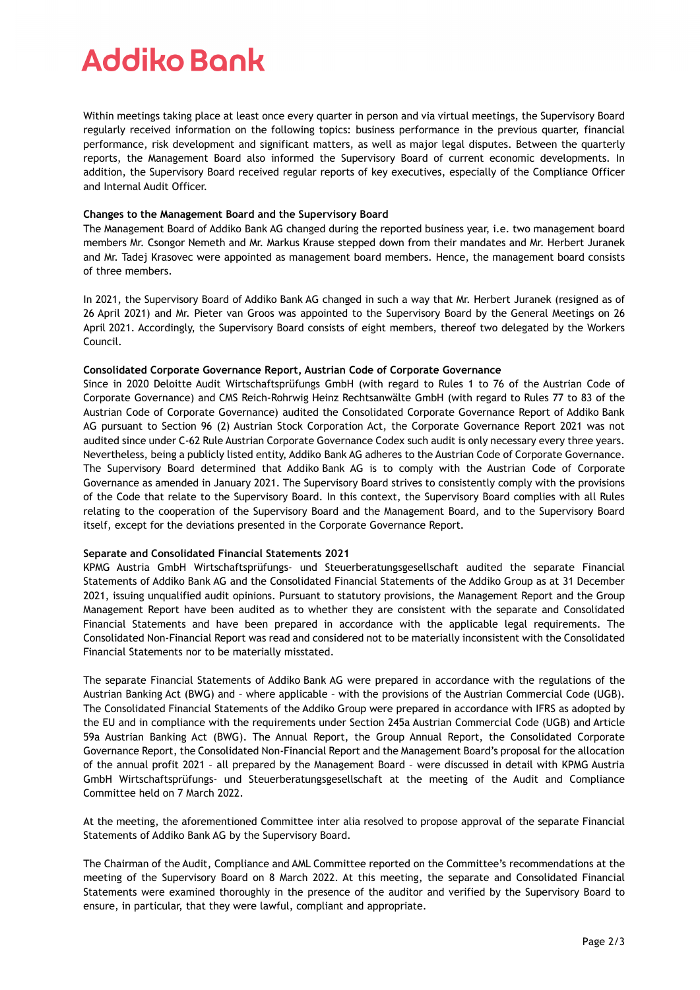# **Addiko Bonk**

Within meetings taking place at least once every quarter in person and via virtual meetings, the Supervisory Board regularly received information on the following topics: business performance in the previous quarter, financial performance, risk development and significant matters, as well as major legal disputes. Between the quarterly reports, the Management Board also informed the Supervisory Board of current economic developments. In addition, the Supervisory Board received regular reports of key executives, especially of the Compliance Officer and Internal Audit Officer.

#### **Changes to the Management Board and the Supervisory Board**

The Management Board of Addiko Bank AG changed during the reported business year, i.e. two management board members Mr. Csongor Nemeth and Mr. Markus Krause stepped down from their mandates and Mr. Herbert Juranek and Mr. Tadej Krasovec were appointed as management board members. Hence, the management board consists of three members.

In 2021, the Supervisory Board of Addiko Bank AG changed in such a way that Mr. Herbert Juranek (resigned as of 26 April 2021) and Mr. Pieter van Groos was appointed to the Supervisory Board by the General Meetings on 26 April 2021. Accordingly, the Supervisory Board consists of eight members, thereof two delegated by the Workers Council.

#### **Consolidated Corporate Governance Report, Austrian Code of Corporate Governance**

Since in 2020 Deloitte Audit Wirtschaftsprüfungs GmbH (with regard to Rules 1 to 76 of the Austrian Code of Corporate Governance) and CMS Reich-Rohrwig Heinz Rechtsanwälte GmbH (with regard to Rules 77 to 83 of the Austrian Code of Corporate Governance) audited the Consolidated Corporate Governance Report of Addiko Bank AG pursuant to Section 96 (2) Austrian Stock Corporation Act, the Corporate Governance Report 2021 was not audited since under C-62 Rule Austrian Corporate Governance Codex such audit is only necessary every three years. Nevertheless, being a publicly listed entity, Addiko Bank AG adheres to the Austrian Code of Corporate Governance. The Supervisory Board determined that Addiko Bank AG is to comply with the Austrian Code of Corporate Governance as amended in January 2021. The Supervisory Board strives to consistently comply with the provisions of the Code that relate to the Supervisory Board. In this context, the Supervisory Board complies with all Rules relating to the cooperation of the Supervisory Board and the Management Board, and to the Supervisory Board itself, except for the deviations presented in the Corporate Governance Report.

#### **Separate and Consolidated Financial Statements 2021**

KPMG Austria GmbH Wirtschaftsprüfungs- und Steuerberatungsgesellschaft audited the separate Financial Statements of Addiko Bank AG and the Consolidated Financial Statements of the Addiko Group as at 31 December 2021, issuing unqualified audit opinions. Pursuant to statutory provisions, the Management Report and the Group Management Report have been audited as to whether they are consistent with the separate and Consolidated Financial Statements and have been prepared in accordance with the applicable legal requirements. The Consolidated Non-Financial Report was read and considered not to be materially inconsistent with the Consolidated Financial Statements nor to be materially misstated.

The separate Financial Statements of Addiko Bank AG were prepared in accordance with the regulations of the Austrian Banking Act (BWG) and – where applicable – with the provisions of the Austrian Commercial Code (UGB). The Consolidated Financial Statements of the Addiko Group were prepared in accordance with IFRS as adopted by the EU and in compliance with the requirements under Section 245a Austrian Commercial Code (UGB) and Article 59a Austrian Banking Act (BWG). The Annual Report, the Group Annual Report, the Consolidated Corporate Governance Report, the Consolidated Non-Financial Report and the Management Board's proposal for the allocation of the annual profit 2021 – all prepared by the Management Board – were discussed in detail with KPMG Austria GmbH Wirtschaftsprüfungs- und Steuerberatungsgesellschaft at the meeting of the Audit and Compliance Committee held on 7 March 2022.

At the meeting, the aforementioned Committee inter alia resolved to propose approval of the separate Financial Statements of Addiko Bank AG by the Supervisory Board.

The Chairman of the Audit, Compliance and AML Committee reported on the Committee's recommendations at the meeting of the Supervisory Board on 8 March 2022. At this meeting, the separate and Consolidated Financial Statements were examined thoroughly in the presence of the auditor and verified by the Supervisory Board to ensure, in particular, that they were lawful, compliant and appropriate.